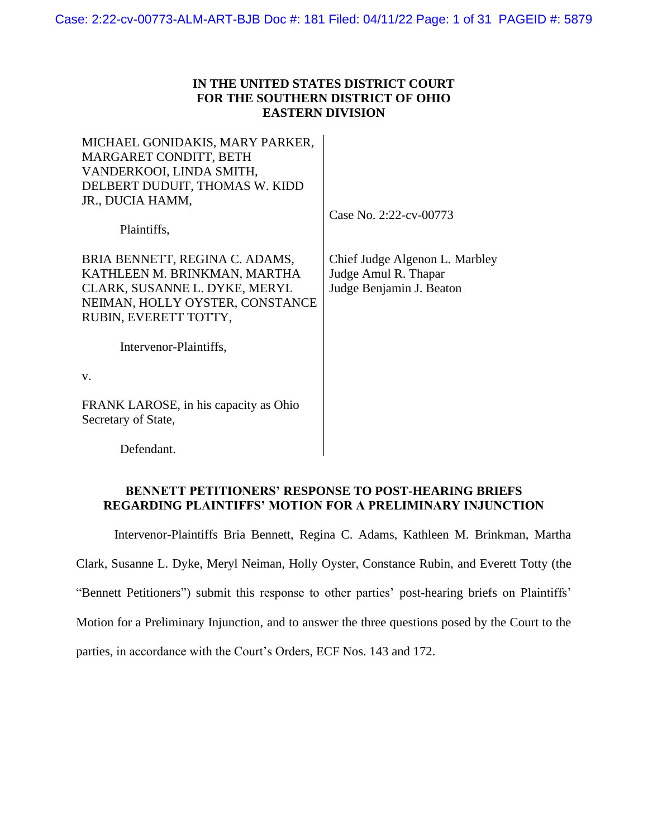### **IN THE UNITED STATES DISTRICT COURT FOR THE SOUTHERN DISTRICT OF OHIO EASTERN DIVISION**

MICHAEL GONIDAKIS, MARY PARKER, MARGARET CONDITT, BETH VANDERKOOI, LINDA SMITH, DELBERT DUDUIT, THOMAS W. KIDD JR., DUCIA HAMM,

Case No. 2:22-cv-00773

Plaintiffs,

BRIA BENNETT, REGINA C. ADAMS, KATHLEEN M. BRINKMAN, MARTHA CLARK, SUSANNE L. DYKE, MERYL NEIMAN, HOLLY OYSTER, CONSTANCE RUBIN, EVERETT TOTTY,

Chief Judge Algenon L. Marbley Judge Amul R. Thapar Judge Benjamin J. Beaton

Intervenor-Plaintiffs,

v.

FRANK LAROSE, in his capacity as Ohio Secretary of State,

Defendant.

#### **BENNETT PETITIONERS' RESPONSE TO POST-HEARING BRIEFS REGARDING PLAINTIFFS' MOTION FOR A PRELIMINARY INJUNCTION**

Intervenor-Plaintiffs Bria Bennett, Regina C. Adams, Kathleen M. Brinkman, Martha Clark, Susanne L. Dyke, Meryl Neiman, Holly Oyster, Constance Rubin, and Everett Totty (the "Bennett Petitioners") submit this response to other parties' post-hearing briefs on Plaintiffs' Motion for a Preliminary Injunction, and to answer the three questions posed by the Court to the parties, in accordance with the Court's Orders, ECF Nos. 143 and 172.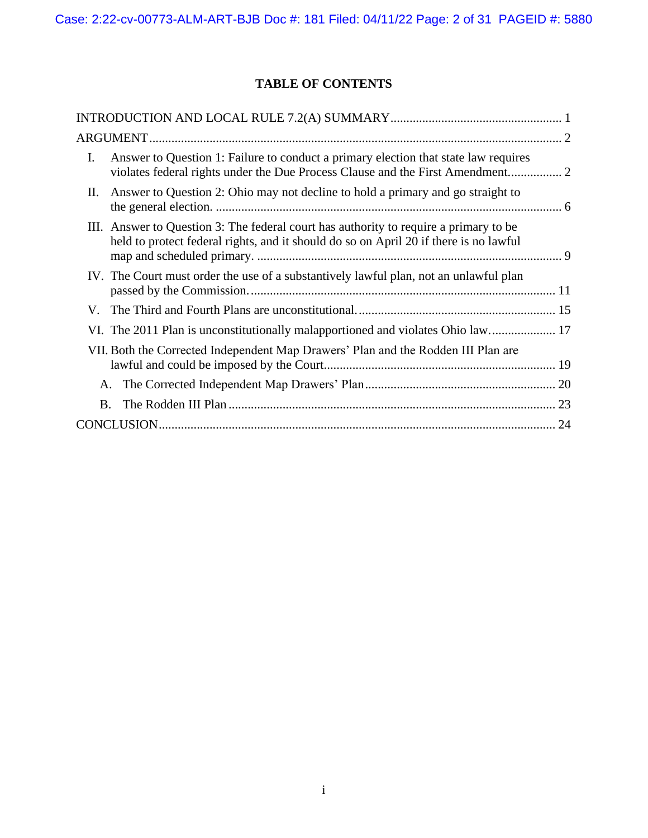# **TABLE OF CONTENTS**

| $\mathbf{I}$ . | Answer to Question 1: Failure to conduct a primary election that state law requires<br>violates federal rights under the Due Process Clause and the First Amendment 2          |  |
|----------------|--------------------------------------------------------------------------------------------------------------------------------------------------------------------------------|--|
| П.             | Answer to Question 2: Ohio may not decline to hold a primary and go straight to                                                                                                |  |
|                | III. Answer to Question 3: The federal court has authority to require a primary to be<br>held to protect federal rights, and it should do so on April 20 if there is no lawful |  |
|                | IV. The Court must order the use of a substantively lawful plan, not an unlawful plan                                                                                          |  |
|                |                                                                                                                                                                                |  |
|                | VI. The 2011 Plan is unconstitutionally malapportioned and violates Ohio law 17                                                                                                |  |
|                | VII. Both the Corrected Independent Map Drawers' Plan and the Rodden III Plan are                                                                                              |  |
| A.             |                                                                                                                                                                                |  |
| B.             |                                                                                                                                                                                |  |
|                |                                                                                                                                                                                |  |
|                |                                                                                                                                                                                |  |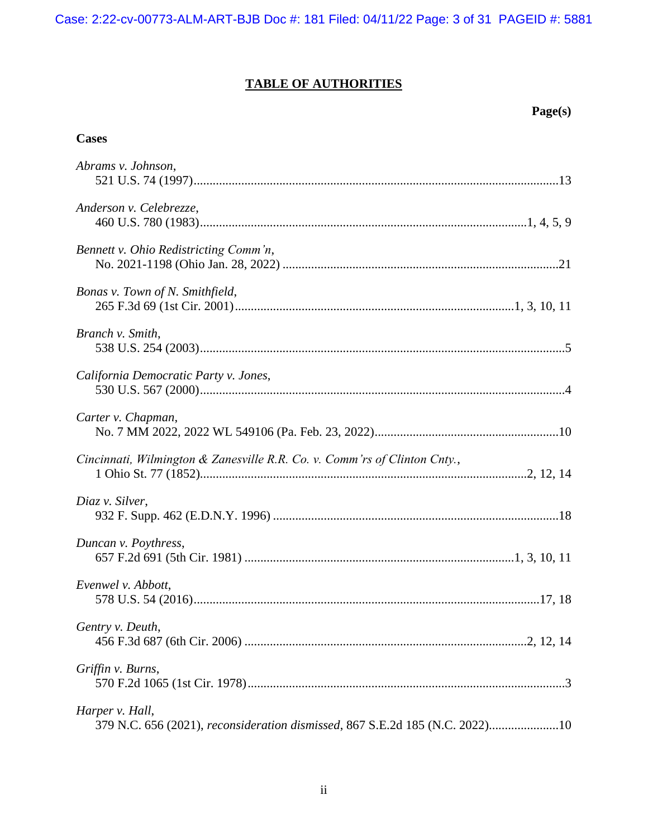# **TABLE OF AUTHORITIES**

## **Page(s)**

### **Cases**

| Abrams v. Johnson,                                                                              |
|-------------------------------------------------------------------------------------------------|
| Anderson v. Celebrezze,                                                                         |
| Bennett v. Ohio Redistricting Comm'n,                                                           |
| Bonas v. Town of N. Smithfield,                                                                 |
| Branch v. Smith,                                                                                |
| California Democratic Party v. Jones,                                                           |
| Carter v. Chapman,                                                                              |
| Cincinnati, Wilmington & Zanesville R.R. Co. v. Comm'rs of Clinton Cnty.,                       |
| Diaz v. Silver,                                                                                 |
| Duncan v. Poythress,                                                                            |
| Evenwel v. Abbott,                                                                              |
| Gentry v. Deuth,                                                                                |
| Griffin v. Burns,                                                                               |
| Harper v. Hall,<br>379 N.C. 656 (2021), reconsideration dismissed, 867 S.E.2d 185 (N.C. 2022)10 |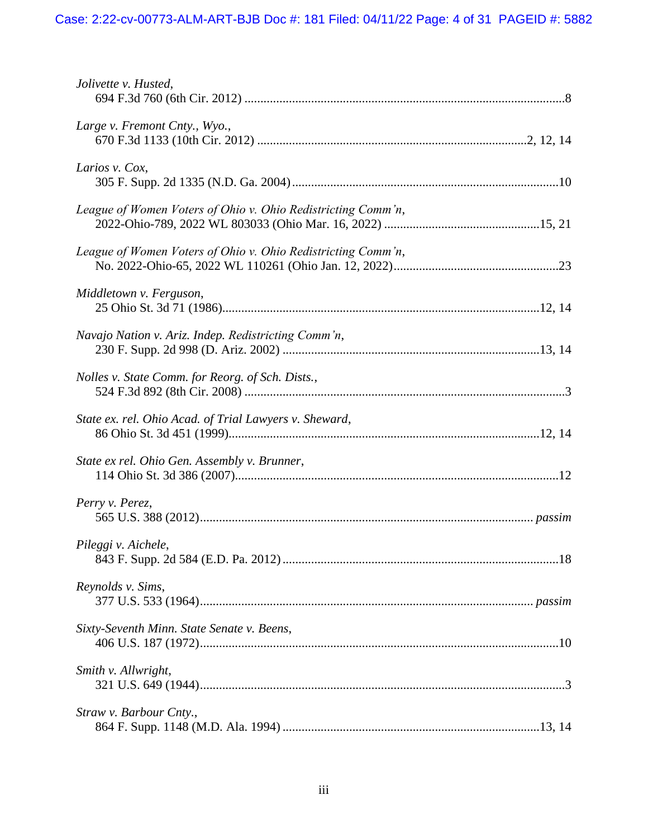| Jolivette v. Husted,                                         |
|--------------------------------------------------------------|
| Large v. Fremont Cnty., Wyo.,                                |
| Larios v. Cox,                                               |
| League of Women Voters of Ohio v. Ohio Redistricting Comm'n, |
| League of Women Voters of Ohio v. Ohio Redistricting Comm'n, |
| Middletown v. Ferguson,                                      |
| Navajo Nation v. Ariz. Indep. Redistricting Comm'n,          |
| Nolles v. State Comm. for Reorg. of Sch. Dists.,             |
| State ex. rel. Ohio Acad. of Trial Lawyers v. Sheward,       |
| State ex rel. Ohio Gen. Assembly v. Brunner,                 |
| Perry v. Perez,                                              |
| Pileggi v. Aichele,                                          |
| Reynolds v. Sims,                                            |
| Sixty-Seventh Minn. State Senate v. Beens,                   |
| Smith v. Allwright,                                          |
| Straw v. Barbour Cnty.,                                      |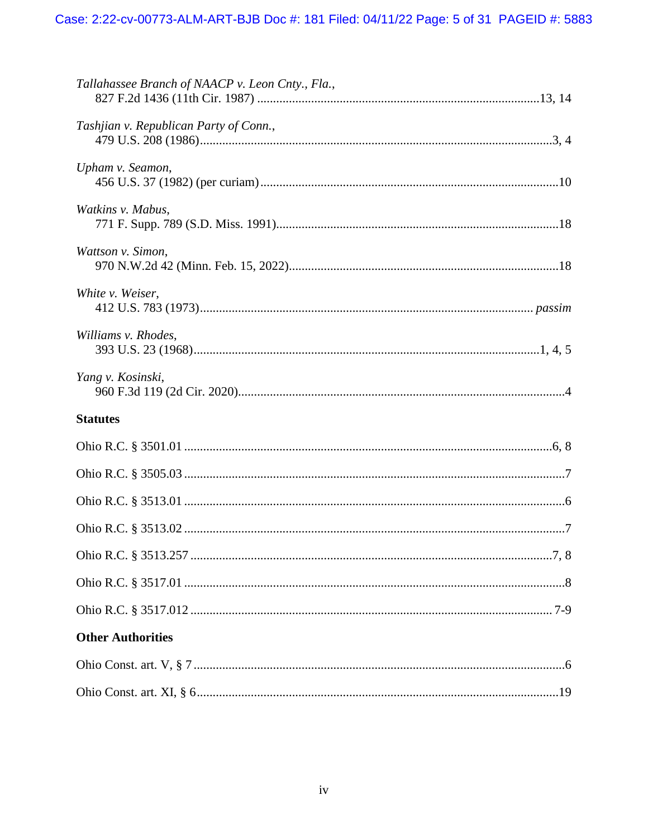| Tallahassee Branch of NAACP v. Leon Cnty., Fla., |  |  |
|--------------------------------------------------|--|--|
| Tashjian v. Republican Party of Conn.,           |  |  |
| Upham v. Seamon,                                 |  |  |
| Watkins v. Mabus,                                |  |  |
| Wattson v. Simon,                                |  |  |
| White v. Weiser,                                 |  |  |
| Williams v. Rhodes,                              |  |  |
| Yang v. Kosinski,                                |  |  |
| <b>Statutes</b>                                  |  |  |
|                                                  |  |  |
|                                                  |  |  |
|                                                  |  |  |
|                                                  |  |  |
|                                                  |  |  |
|                                                  |  |  |
|                                                  |  |  |
| <b>Other Authorities</b>                         |  |  |
|                                                  |  |  |
|                                                  |  |  |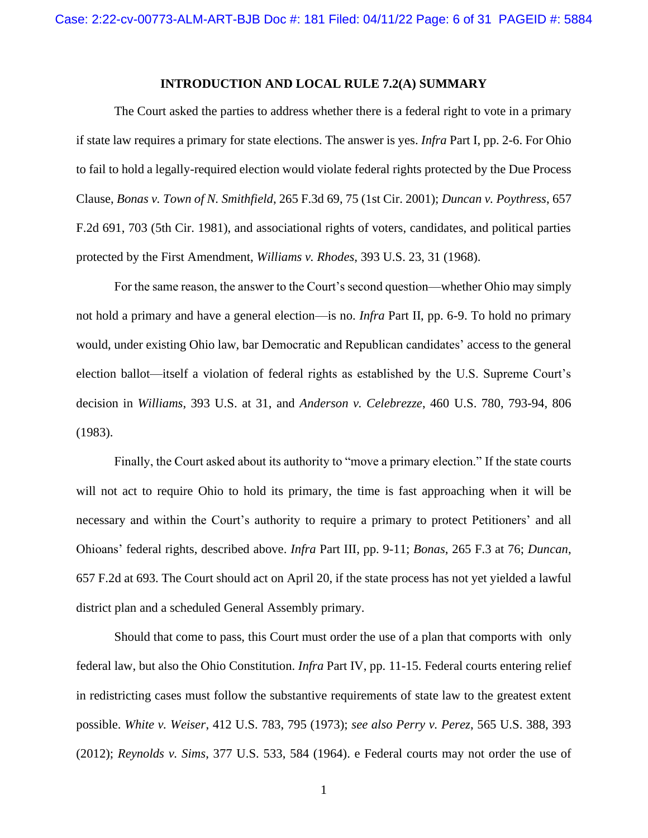#### **INTRODUCTION AND LOCAL RULE 7.2(A) SUMMARY**

<span id="page-5-0"></span>The Court asked the parties to address whether there is a federal right to vote in a primary if state law requires a primary for state elections. The answer is yes. *Infra* Part I, pp. 2-6. For Ohio to fail to hold a legally-required election would violate federal rights protected by the Due Process Clause, *Bonas v. Town of N. Smithfield*, 265 F.3d 69, 75 (1st Cir. 2001); *Duncan v. Poythress*, 657 F.2d 691, 703 (5th Cir. 1981), and associational rights of voters, candidates, and political parties protected by the First Amendment, *Williams v. Rhodes*, 393 U.S. 23, 31 (1968).

For the same reason, the answer to the Court's second question—whether Ohio may simply not hold a primary and have a general election—is no. *Infra* Part II, pp. 6-9. To hold no primary would, under existing Ohio law, bar Democratic and Republican candidates' access to the general election ballot—itself a violation of federal rights as established by the U.S. Supreme Court's decision in *Williams*, 393 U.S. at 31, and *Anderson v. Celebrezze*, 460 U.S. 780, 793-94, 806 (1983).

Finally, the Court asked about its authority to "move a primary election." If the state courts will not act to require Ohio to hold its primary, the time is fast approaching when it will be necessary and within the Court's authority to require a primary to protect Petitioners' and all Ohioans' federal rights, described above. *Infra* Part III, pp. 9-11; *Bonas*, 265 F.3 at 76; *Duncan*, 657 F.2d at 693. The Court should act on April 20, if the state process has not yet yielded a lawful district plan and a scheduled General Assembly primary.

Should that come to pass, this Court must order the use of a plan that comports with only federal law, but also the Ohio Constitution. *Infra* Part IV, pp. 11-15. Federal courts entering relief in redistricting cases must follow the substantive requirements of state law to the greatest extent possible. *White v. Weiser*, 412 U.S. 783, 795 (1973); *see also Perry v. Perez*, 565 U.S. 388, 393 (2012); *Reynolds v. Sims*, 377 U.S. 533, 584 (1964). e Federal courts may not order the use of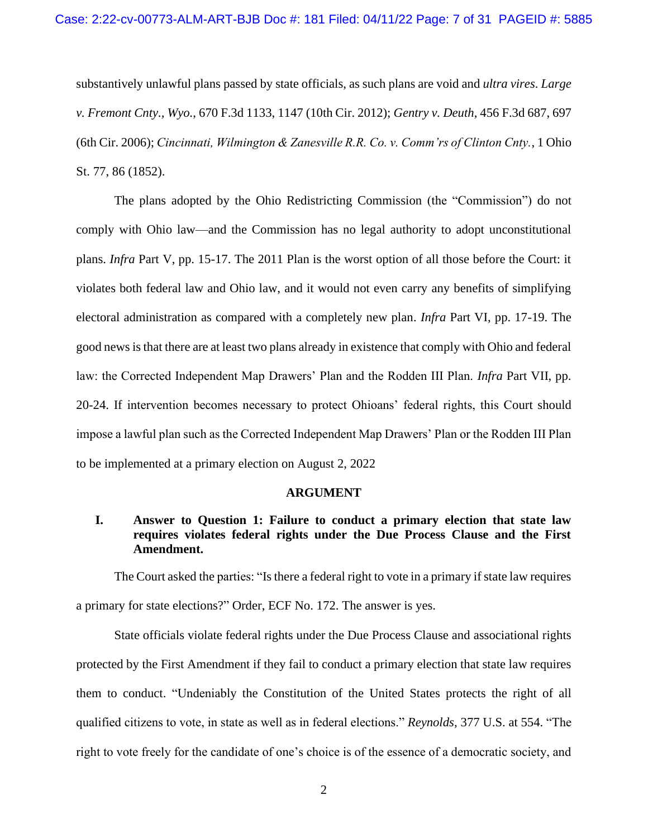substantively unlawful plans passed by state officials, as such plans are void and *ultra vires*. *Large v. Fremont Cnty., Wyo.*, 670 F.3d 1133, 1147 (10th Cir. 2012); *Gentry v. Deuth*, 456 F.3d 687, 697 (6th Cir. 2006); *Cincinnati, Wilmington & Zanesville R.R. Co. v. Comm'rs of Clinton Cnty.*, 1 Ohio St. 77, 86 (1852).

The plans adopted by the Ohio Redistricting Commission (the "Commission") do not comply with Ohio law—and the Commission has no legal authority to adopt unconstitutional plans. *Infra* Part V, pp. 15-17. The 2011 Plan is the worst option of all those before the Court: it violates both federal law and Ohio law, and it would not even carry any benefits of simplifying electoral administration as compared with a completely new plan. *Infra* Part VI, pp. 17-19. The good news is that there are at least two plans already in existence that comply with Ohio and federal law: the Corrected Independent Map Drawers' Plan and the Rodden III Plan. *Infra* Part VII, pp. 20-24. If intervention becomes necessary to protect Ohioans' federal rights, this Court should impose a lawful plan such as the Corrected Independent Map Drawers' Plan or the Rodden III Plan to be implemented at a primary election on August 2, 2022

#### **ARGUMENT**

### <span id="page-6-1"></span><span id="page-6-0"></span>**I. Answer to Question 1: Failure to conduct a primary election that state law requires violates federal rights under the Due Process Clause and the First Amendment.**

The Court asked the parties: "Is there a federal right to vote in a primary if state law requires a primary for state elections?" Order, ECF No. 172. The answer is yes.

State officials violate federal rights under the Due Process Clause and associational rights protected by the First Amendment if they fail to conduct a primary election that state law requires them to conduct. "Undeniably the Constitution of the United States protects the right of all qualified citizens to vote, in state as well as in federal elections." *Reynolds*, 377 U.S. at 554. "The right to vote freely for the candidate of one's choice is of the essence of a democratic society, and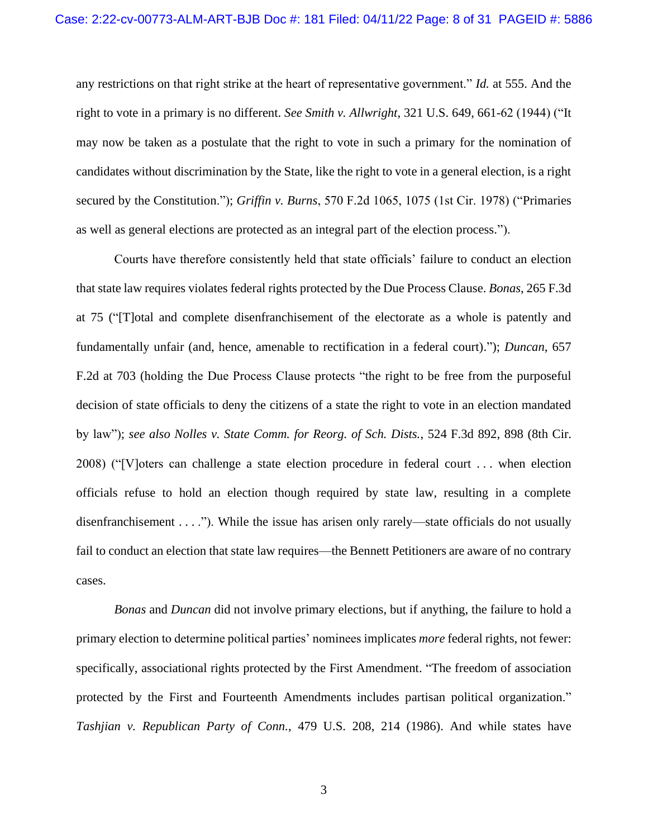any restrictions on that right strike at the heart of representative government." *Id.* at 555. And the right to vote in a primary is no different. *See Smith v. Allwright*, 321 U.S. 649, 661-62 (1944) ("It may now be taken as a postulate that the right to vote in such a primary for the nomination of candidates without discrimination by the State, like the right to vote in a general election, is a right secured by the Constitution."); *Griffin v. Burns*, 570 F.2d 1065, 1075 (1st Cir. 1978) ("Primaries as well as general elections are protected as an integral part of the election process.").

Courts have therefore consistently held that state officials' failure to conduct an election that state law requires violates federal rights protected by the Due Process Clause. *Bonas*, 265 F.3d at 75 ("[T]otal and complete disenfranchisement of the electorate as a whole is patently and fundamentally unfair (and, hence, amenable to rectification in a federal court)."); *Duncan*, 657 F.2d at 703 (holding the Due Process Clause protects "the right to be free from the purposeful decision of state officials to deny the citizens of a state the right to vote in an election mandated by law"); *see also Nolles v. State Comm. for Reorg. of Sch. Dists.*, 524 F.3d 892, 898 (8th Cir. 2008) ("[V]oters can challenge a state election procedure in federal court . . . when election officials refuse to hold an election though required by state law, resulting in a complete disenfranchisement . . . ."). While the issue has arisen only rarely—state officials do not usually fail to conduct an election that state law requires—the Bennett Petitioners are aware of no contrary cases.

*Bonas* and *Duncan* did not involve primary elections, but if anything, the failure to hold a primary election to determine political parties' nominees implicates *more* federal rights, not fewer: specifically, associational rights protected by the First Amendment. "The freedom of association protected by the First and Fourteenth Amendments includes partisan political organization." *Tashjian v. Republican Party of Conn.*, 479 U.S. 208, 214 (1986). And while states have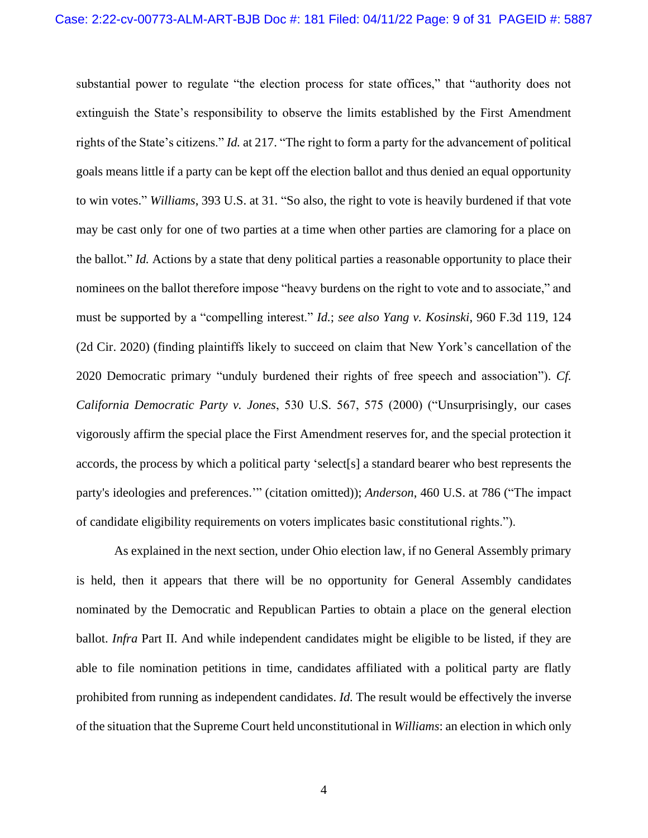substantial power to regulate "the election process for state offices," that "authority does not extinguish the State's responsibility to observe the limits established by the First Amendment rights of the State's citizens." *Id.* at 217. "The right to form a party for the advancement of political goals means little if a party can be kept off the election ballot and thus denied an equal opportunity to win votes." *Williams*, 393 U.S. at 31. "So also, the right to vote is heavily burdened if that vote may be cast only for one of two parties at a time when other parties are clamoring for a place on the ballot." *Id.* Actions by a state that deny political parties a reasonable opportunity to place their nominees on the ballot therefore impose "heavy burdens on the right to vote and to associate," and must be supported by a "compelling interest." *Id.*; *see also Yang v. Kosinski*, 960 F.3d 119, 124 (2d Cir. 2020) (finding plaintiffs likely to succeed on claim that New York's cancellation of the 2020 Democratic primary "unduly burdened their rights of free speech and association"). *Cf. California Democratic Party v. Jones*, 530 U.S. 567, 575 (2000) ("Unsurprisingly, our cases vigorously affirm the special place the First Amendment reserves for, and the special protection it accords, the process by which a political party 'select[s] a standard bearer who best represents the party's ideologies and preferences.'" (citation omitted)); *Anderson*, 460 U.S. at 786 ("The impact of candidate eligibility requirements on voters implicates basic constitutional rights.").

As explained in the next section, under Ohio election law, if no General Assembly primary is held, then it appears that there will be no opportunity for General Assembly candidates nominated by the Democratic and Republican Parties to obtain a place on the general election ballot. *Infra* Part II. And while independent candidates might be eligible to be listed, if they are able to file nomination petitions in time, candidates affiliated with a political party are flatly prohibited from running as independent candidates. *Id.* The result would be effectively the inverse of the situation that the Supreme Court held unconstitutional in *Williams*: an election in which only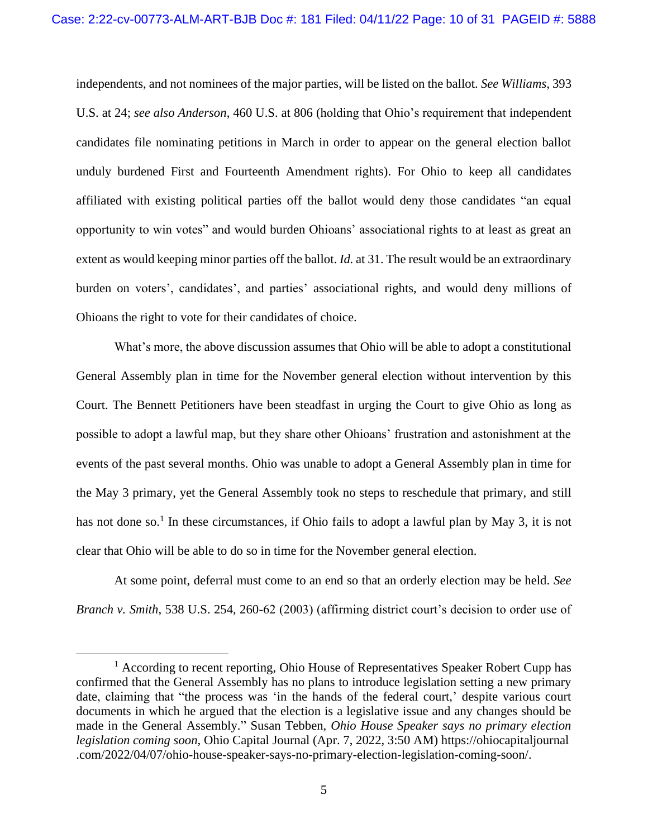independents, and not nominees of the major parties, will be listed on the ballot. *See Williams*, 393 U.S. at 24; *see also Anderson*, 460 U.S. at 806 (holding that Ohio's requirement that independent candidates file nominating petitions in March in order to appear on the general election ballot unduly burdened First and Fourteenth Amendment rights). For Ohio to keep all candidates affiliated with existing political parties off the ballot would deny those candidates "an equal opportunity to win votes" and would burden Ohioans' associational rights to at least as great an extent as would keeping minor parties off the ballot. *Id.* at 31. The result would be an extraordinary burden on voters', candidates', and parties' associational rights, and would deny millions of Ohioans the right to vote for their candidates of choice.

What's more, the above discussion assumes that Ohio will be able to adopt a constitutional General Assembly plan in time for the November general election without intervention by this Court. The Bennett Petitioners have been steadfast in urging the Court to give Ohio as long as possible to adopt a lawful map, but they share other Ohioans' frustration and astonishment at the events of the past several months. Ohio was unable to adopt a General Assembly plan in time for the May 3 primary, yet the General Assembly took no steps to reschedule that primary, and still has not done so.<sup>1</sup> In these circumstances, if Ohio fails to adopt a lawful plan by May 3, it is not clear that Ohio will be able to do so in time for the November general election.

At some point, deferral must come to an end so that an orderly election may be held. *See Branch v. Smith*, 538 U.S. 254, 260-62 (2003) (affirming district court's decision to order use of

 $<sup>1</sup>$  According to recent reporting, Ohio House of Representatives Speaker Robert Cupp has</sup> confirmed that the General Assembly has no plans to introduce legislation setting a new primary date, claiming that "the process was 'in the hands of the federal court,' despite various court documents in which he argued that the election is a legislative issue and any changes should be made in the General Assembly." Susan Tebben, *Ohio House Speaker says no primary election legislation coming soon*, Ohio Capital Journal (Apr. 7, 2022, 3:50 AM) https://ohiocapitaljournal .com/2022/04/07/ohio-house-speaker-says-no-primary-election-legislation-coming-soon/.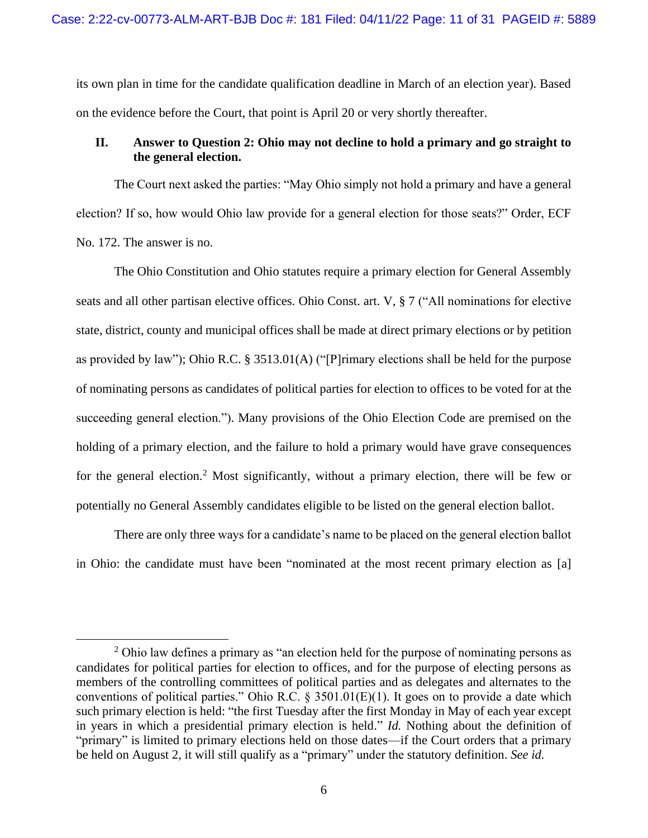its own plan in time for the candidate qualification deadline in March of an election year). Based on the evidence before the Court, that point is April 20 or very shortly thereafter.

### <span id="page-10-0"></span>**II. Answer to Question 2: Ohio may not decline to hold a primary and go straight to the general election.**

The Court next asked the parties: "May Ohio simply not hold a primary and have a general election? If so, how would Ohio law provide for a general election for those seats?" Order, ECF No. 172. The answer is no.

The Ohio Constitution and Ohio statutes require a primary election for General Assembly seats and all other partisan elective offices. Ohio Const. art. V, § 7 ("All nominations for elective state, district, county and municipal offices shall be made at direct primary elections or by petition as provided by law"); Ohio R.C. § 3513.01(A) ("[P]rimary elections shall be held for the purpose of nominating persons as candidates of political parties for election to offices to be voted for at the succeeding general election."). Many provisions of the Ohio Election Code are premised on the holding of a primary election, and the failure to hold a primary would have grave consequences for the general election.<sup>2</sup> Most significantly, without a primary election, there will be few or potentially no General Assembly candidates eligible to be listed on the general election ballot.

There are only three ways for a candidate's name to be placed on the general election ballot in Ohio: the candidate must have been "nominated at the most recent primary election as [a]

 $2$  Ohio law defines a primary as "an election held for the purpose of nominating persons as candidates for political parties for election to offices, and for the purpose of electing persons as members of the controlling committees of political parties and as delegates and alternates to the conventions of political parties." Ohio R.C.  $\S$  3501.01(E)(1). It goes on to provide a date which such primary election is held: "the first Tuesday after the first Monday in May of each year except in years in which a presidential primary election is held." *Id.* Nothing about the definition of "primary" is limited to primary elections held on those dates—if the Court orders that a primary be held on August 2, it will still qualify as a "primary" under the statutory definition. *See id.*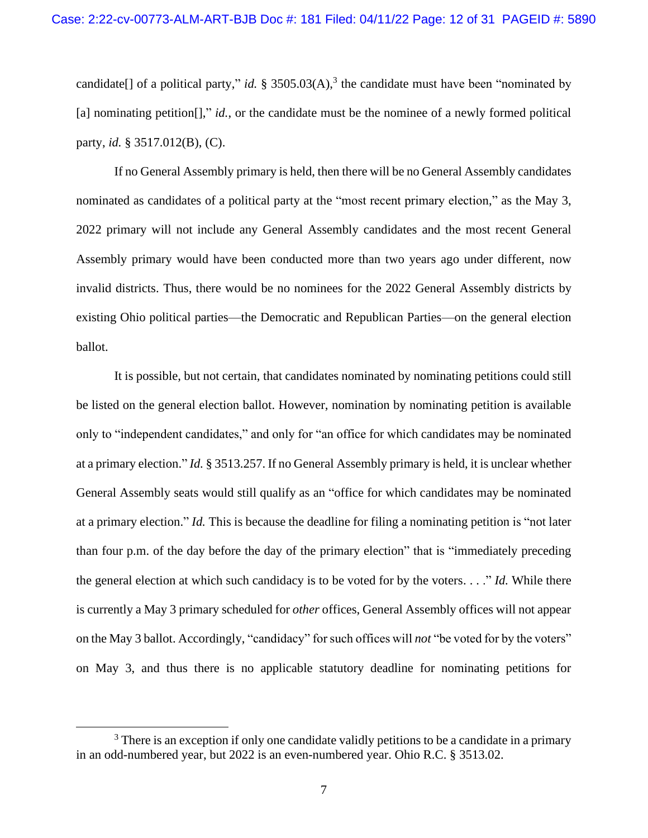candidate[] of a political party," *id.* § 3505.03(A),<sup>3</sup> the candidate must have been "nominated by [a] nominating petition<sup>[]</sup>," *id.*, or the candidate must be the nominee of a newly formed political party, *id.* § 3517.012(B), (C).

If no General Assembly primary is held, then there will be no General Assembly candidates nominated as candidates of a political party at the "most recent primary election," as the May 3, 2022 primary will not include any General Assembly candidates and the most recent General Assembly primary would have been conducted more than two years ago under different, now invalid districts. Thus, there would be no nominees for the 2022 General Assembly districts by existing Ohio political parties—the Democratic and Republican Parties—on the general election ballot.

It is possible, but not certain, that candidates nominated by nominating petitions could still be listed on the general election ballot. However, nomination by nominating petition is available only to "independent candidates," and only for "an office for which candidates may be nominated at a primary election." *Id.* § 3513.257. If no General Assembly primary is held, it is unclear whether General Assembly seats would still qualify as an "office for which candidates may be nominated at a primary election." *Id.* This is because the deadline for filing a nominating petition is "not later than four p.m. of the day before the day of the primary election" that is "immediately preceding the general election at which such candidacy is to be voted for by the voters. . . ." *Id.* While there is currently a May 3 primary scheduled for *other* offices, General Assembly offices will not appear on the May 3 ballot. Accordingly, "candidacy" for such offices will *not* "be voted for by the voters" on May 3, and thus there is no applicable statutory deadline for nominating petitions for

<sup>&</sup>lt;sup>3</sup> There is an exception if only one candidate validly petitions to be a candidate in a primary in an odd-numbered year, but 2022 is an even-numbered year. Ohio R.C. § 3513.02.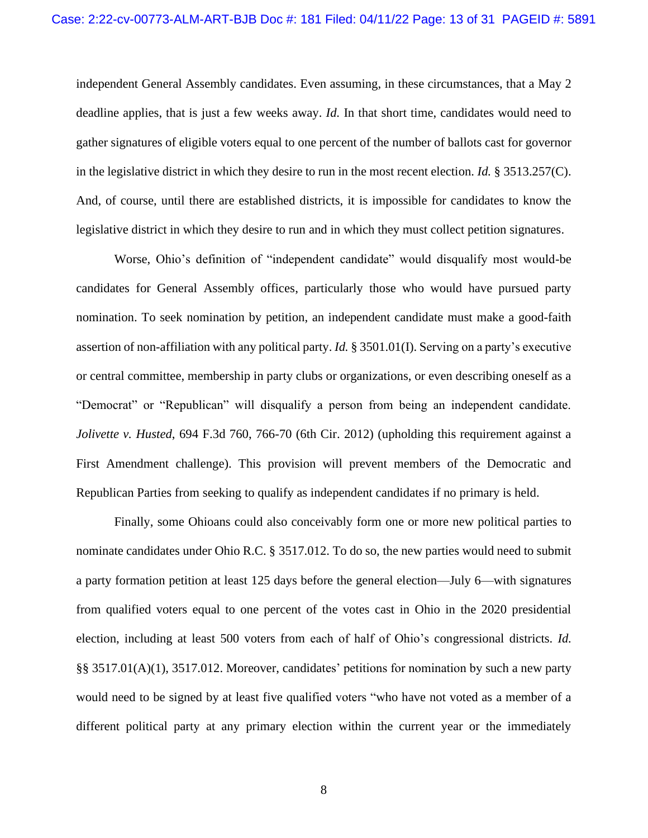independent General Assembly candidates. Even assuming, in these circumstances, that a May 2 deadline applies, that is just a few weeks away. *Id.* In that short time, candidates would need to gather signatures of eligible voters equal to one percent of the number of ballots cast for governor in the legislative district in which they desire to run in the most recent election. *Id.* § 3513.257(C). And, of course, until there are established districts, it is impossible for candidates to know the legislative district in which they desire to run and in which they must collect petition signatures.

Worse, Ohio's definition of "independent candidate" would disqualify most would-be candidates for General Assembly offices, particularly those who would have pursued party nomination. To seek nomination by petition, an independent candidate must make a good-faith assertion of non-affiliation with any political party. *Id.* § 3501.01(I). Serving on a party's executive or central committee, membership in party clubs or organizations, or even describing oneself as a "Democrat" or "Republican" will disqualify a person from being an independent candidate. *Jolivette v. Husted*, 694 F.3d 760, 766-70 (6th Cir. 2012) (upholding this requirement against a First Amendment challenge). This provision will prevent members of the Democratic and Republican Parties from seeking to qualify as independent candidates if no primary is held.

Finally, some Ohioans could also conceivably form one or more new political parties to nominate candidates under Ohio R.C. § 3517.012. To do so, the new parties would need to submit a party formation petition at least 125 days before the general election—July 6—with signatures from qualified voters equal to one percent of the votes cast in Ohio in the 2020 presidential election, including at least 500 voters from each of half of Ohio's congressional districts. *Id.* §§ 3517.01(A)(1), 3517.012. Moreover, candidates' petitions for nomination by such a new party would need to be signed by at least five qualified voters "who have not voted as a member of a different political party at any primary election within the current year or the immediately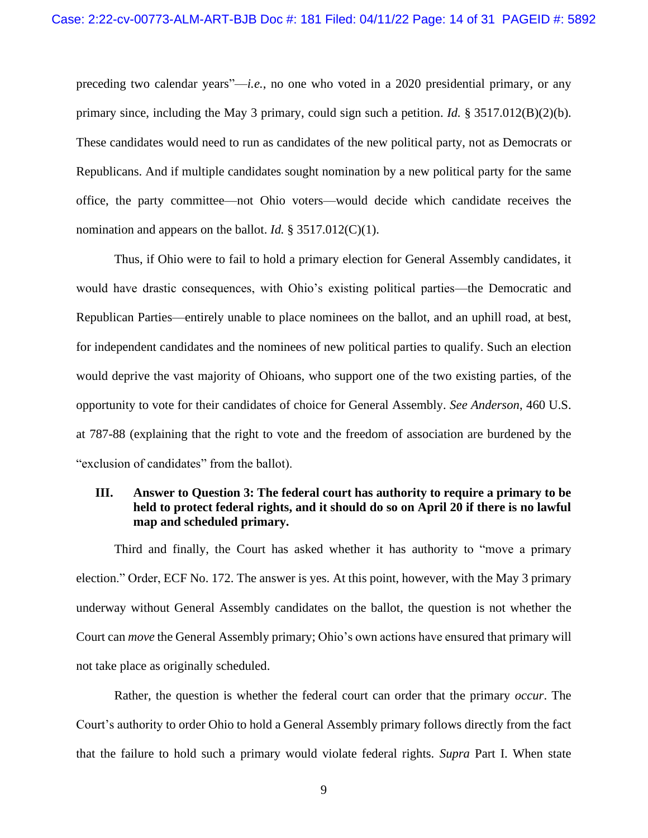preceding two calendar years"—*i.e.*, no one who voted in a 2020 presidential primary, or any primary since, including the May 3 primary, could sign such a petition. *Id.* § 3517.012(B)(2)(b). These candidates would need to run as candidates of the new political party, not as Democrats or Republicans. And if multiple candidates sought nomination by a new political party for the same office, the party committee—not Ohio voters—would decide which candidate receives the nomination and appears on the ballot. *Id.* § 3517.012(C)(1).

Thus, if Ohio were to fail to hold a primary election for General Assembly candidates, it would have drastic consequences, with Ohio's existing political parties—the Democratic and Republican Parties—entirely unable to place nominees on the ballot, and an uphill road, at best, for independent candidates and the nominees of new political parties to qualify. Such an election would deprive the vast majority of Ohioans, who support one of the two existing parties, of the opportunity to vote for their candidates of choice for General Assembly. *See Anderson*, 460 U.S. at 787-88 (explaining that the right to vote and the freedom of association are burdened by the "exclusion of candidates" from the ballot).

### <span id="page-13-0"></span>**III. Answer to Question 3: The federal court has authority to require a primary to be held to protect federal rights, and it should do so on April 20 if there is no lawful map and scheduled primary.**

Third and finally, the Court has asked whether it has authority to "move a primary election." Order, ECF No. 172. The answer is yes. At this point, however, with the May 3 primary underway without General Assembly candidates on the ballot, the question is not whether the Court can *move* the General Assembly primary; Ohio's own actions have ensured that primary will not take place as originally scheduled.

Rather, the question is whether the federal court can order that the primary *occur*. The Court's authority to order Ohio to hold a General Assembly primary follows directly from the fact that the failure to hold such a primary would violate federal rights. *Supra* Part I. When state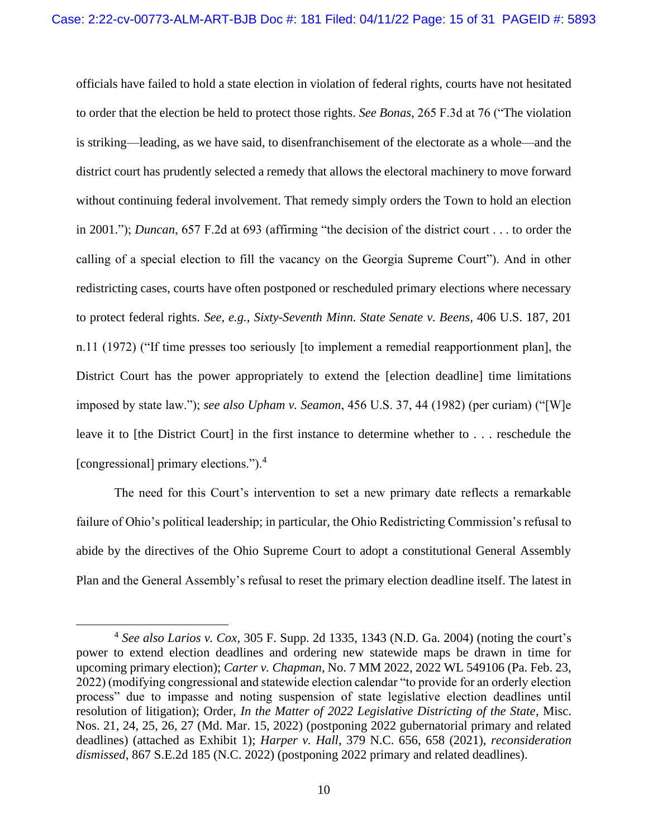officials have failed to hold a state election in violation of federal rights, courts have not hesitated to order that the election be held to protect those rights. *See Bonas*, 265 F.3d at 76 ("The violation is striking—leading, as we have said, to disenfranchisement of the electorate as a whole—and the district court has prudently selected a remedy that allows the electoral machinery to move forward without continuing federal involvement. That remedy simply orders the Town to hold an election in 2001."); *Duncan*, 657 F.2d at 693 (affirming "the decision of the district court . . . to order the calling of a special election to fill the vacancy on the Georgia Supreme Court"). And in other redistricting cases, courts have often postponed or rescheduled primary elections where necessary to protect federal rights. *See, e.g.*, *Sixty-Seventh Minn. State Senate v. Beens*, 406 U.S. 187, 201 n.11 (1972) ("If time presses too seriously [to implement a remedial reapportionment plan], the District Court has the power appropriately to extend the [election deadline] time limitations imposed by state law."); *see also Upham v. Seamon*, 456 U.S. 37, 44 (1982) (per curiam) ("[W]e leave it to [the District Court] in the first instance to determine whether to . . . reschedule the [congressional] primary elections.").<sup>4</sup>

The need for this Court's intervention to set a new primary date reflects a remarkable failure of Ohio's political leadership; in particular, the Ohio Redistricting Commission's refusal to abide by the directives of the Ohio Supreme Court to adopt a constitutional General Assembly Plan and the General Assembly's refusal to reset the primary election deadline itself. The latest in

<sup>4</sup> *See also Larios v. Cox*, 305 F. Supp. 2d 1335, 1343 (N.D. Ga. 2004) (noting the court's power to extend election deadlines and ordering new statewide maps be drawn in time for upcoming primary election); *Carter v. Chapman*, No. 7 MM 2022, 2022 WL 549106 (Pa. Feb. 23, 2022) (modifying congressional and statewide election calendar "to provide for an orderly election process" due to impasse and noting suspension of state legislative election deadlines until resolution of litigation); Order, *In the Matter of 2022 Legislative Districting of the State*, Misc. Nos. 21, 24, 25, 26, 27 (Md. Mar. 15, 2022) (postponing 2022 gubernatorial primary and related deadlines) (attached as Exhibit 1); *Harper v. Hall*, 379 N.C. 656, 658 (2021), *reconsideration dismissed*, 867 S.E.2d 185 (N.C. 2022) (postponing 2022 primary and related deadlines).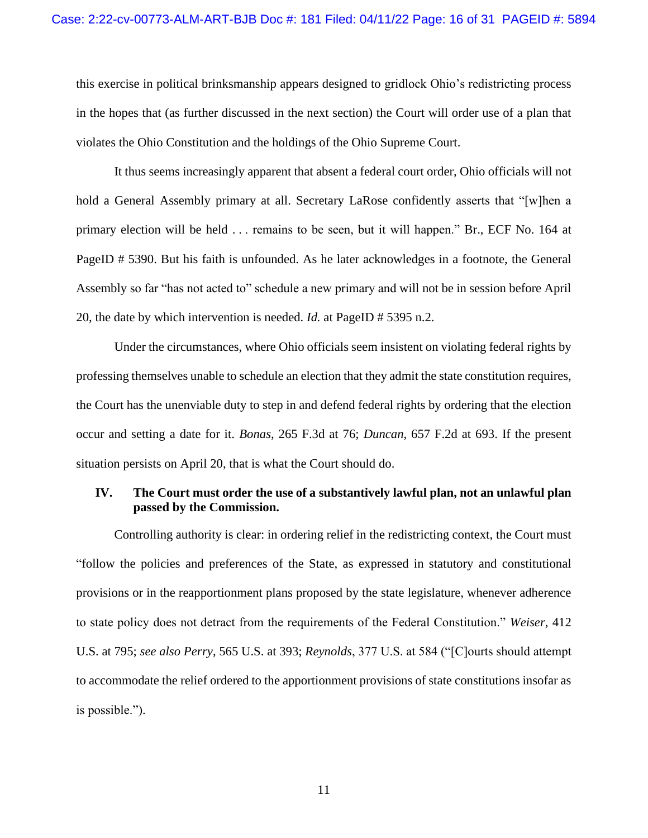this exercise in political brinksmanship appears designed to gridlock Ohio's redistricting process in the hopes that (as further discussed in the next section) the Court will order use of a plan that violates the Ohio Constitution and the holdings of the Ohio Supreme Court.

It thus seems increasingly apparent that absent a federal court order, Ohio officials will not hold a General Assembly primary at all. Secretary LaRose confidently asserts that "[w]hen a primary election will be held . . . remains to be seen, but it will happen." Br., ECF No. 164 at PageID # 5390. But his faith is unfounded. As he later acknowledges in a footnote, the General Assembly so far "has not acted to" schedule a new primary and will not be in session before April 20, the date by which intervention is needed. *Id.* at PageID # 5395 n.2.

Under the circumstances, where Ohio officials seem insistent on violating federal rights by professing themselves unable to schedule an election that they admit the state constitution requires, the Court has the unenviable duty to step in and defend federal rights by ordering that the election occur and setting a date for it. *Bonas*, 265 F.3d at 76; *Duncan*, 657 F.2d at 693. If the present situation persists on April 20, that is what the Court should do.

### <span id="page-15-0"></span>**IV. The Court must order the use of a substantively lawful plan, not an unlawful plan passed by the Commission.**

Controlling authority is clear: in ordering relief in the redistricting context, the Court must "follow the policies and preferences of the State, as expressed in statutory and constitutional provisions or in the reapportionment plans proposed by the state legislature, whenever adherence to state policy does not detract from the requirements of the Federal Constitution." *Weiser*, 412 U.S. at 795; *see also Perry*, 565 U.S. at 393; *Reynolds*, 377 U.S. at 584 ("[C]ourts should attempt to accommodate the relief ordered to the apportionment provisions of state constitutions insofar as is possible.").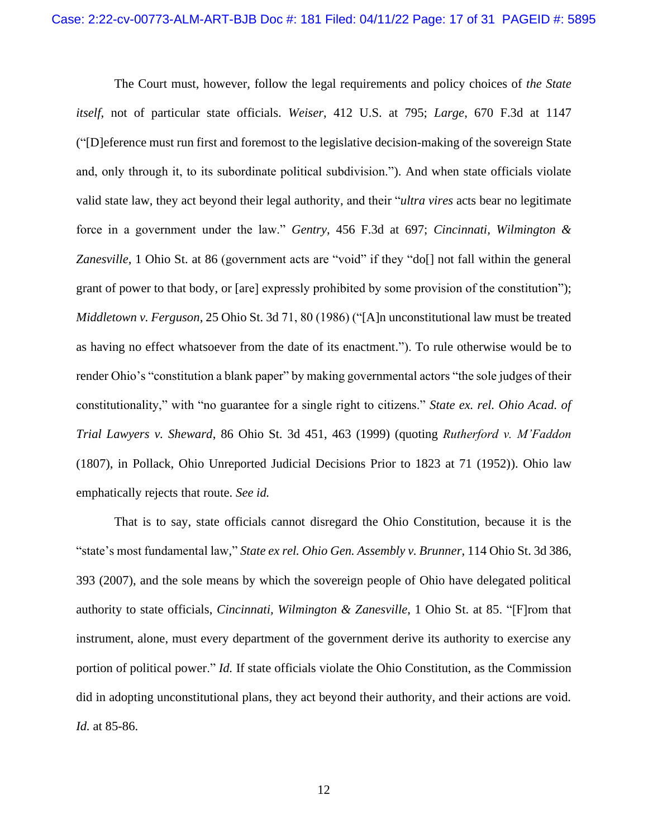The Court must, however, follow the legal requirements and policy choices of *the State itself*, not of particular state officials. *Weiser*, 412 U.S. at 795; *Large*, 670 F.3d at 1147 ("[D]eference must run first and foremost to the legislative decision-making of the sovereign State and, only through it, to its subordinate political subdivision."). And when state officials violate valid state law, they act beyond their legal authority, and their "*ultra vires* acts bear no legitimate force in a government under the law." *Gentry*, 456 F.3d at 697; *Cincinnati, Wilmington & Zanesville*, 1 Ohio St. at 86 (government acts are "void" if they "do[] not fall within the general grant of power to that body, or [are] expressly prohibited by some provision of the constitution"); *Middletown v. Ferguson*, 25 Ohio St. 3d 71, 80 (1986) ("[A]n unconstitutional law must be treated as having no effect whatsoever from the date of its enactment."). To rule otherwise would be to render Ohio's "constitution a blank paper" by making governmental actors "the sole judges of their constitutionality," with "no guarantee for a single right to citizens." *State ex. rel. Ohio Acad. of Trial Lawyers v. Sheward*, 86 Ohio St. 3d 451, 463 (1999) (quoting *Rutherford v. M'Faddon* (1807), in Pollack, Ohio Unreported Judicial Decisions Prior to 1823 at 71 (1952)). Ohio law emphatically rejects that route. *See id.*

That is to say, state officials cannot disregard the Ohio Constitution, because it is the "state's most fundamental law," *State ex rel. Ohio Gen. Assembly v. Brunner*, 114 Ohio St. 3d 386, 393 (2007), and the sole means by which the sovereign people of Ohio have delegated political authority to state officials, *Cincinnati, Wilmington & Zanesville*, 1 Ohio St. at 85. "[F]rom that instrument, alone, must every department of the government derive its authority to exercise any portion of political power." *Id.* If state officials violate the Ohio Constitution, as the Commission did in adopting unconstitutional plans, they act beyond their authority, and their actions are void. *Id.* at 85-86.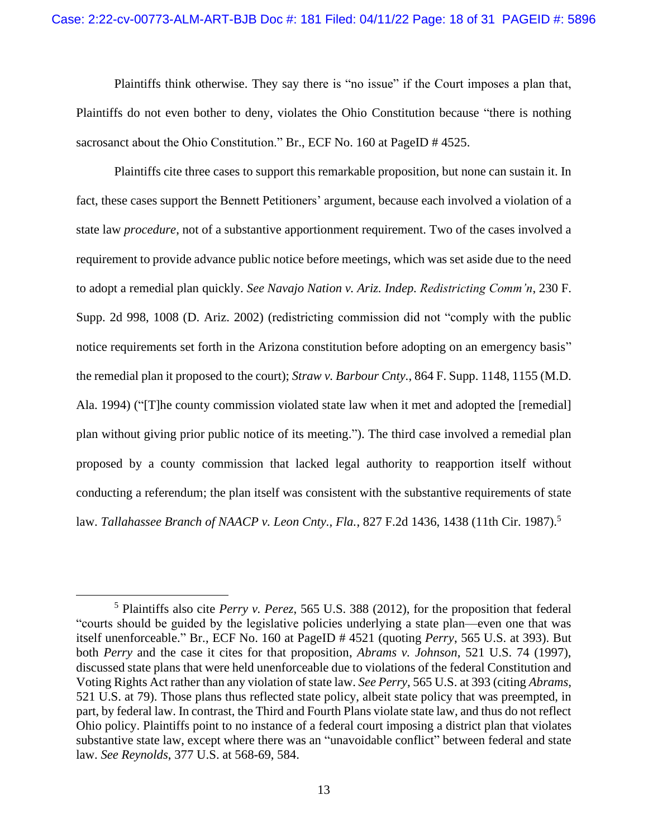Plaintiffs think otherwise. They say there is "no issue" if the Court imposes a plan that, Plaintiffs do not even bother to deny, violates the Ohio Constitution because "there is nothing sacrosanct about the Ohio Constitution." Br., ECF No. 160 at PageID # 4525.

Plaintiffs cite three cases to support this remarkable proposition, but none can sustain it. In fact, these cases support the Bennett Petitioners' argument, because each involved a violation of a state law *procedure*, not of a substantive apportionment requirement. Two of the cases involved a requirement to provide advance public notice before meetings, which was set aside due to the need to adopt a remedial plan quickly. *See Navajo Nation v. Ariz. Indep. Redistricting Comm'n*, 230 F. Supp. 2d 998, 1008 (D. Ariz. 2002) (redistricting commission did not "comply with the public notice requirements set forth in the Arizona constitution before adopting on an emergency basis" the remedial plan it proposed to the court); *Straw v. Barbour Cnty.*, 864 F. Supp. 1148, 1155 (M.D. Ala. 1994) ("[T]he county commission violated state law when it met and adopted the [remedial] plan without giving prior public notice of its meeting."). The third case involved a remedial plan proposed by a county commission that lacked legal authority to reapportion itself without conducting a referendum; the plan itself was consistent with the substantive requirements of state law. *Tallahassee Branch of NAACP v. Leon Cnty., Fla.*, 827 F.2d 1436, 1438 (11th Cir. 1987).<sup>5</sup>

<sup>5</sup> Plaintiffs also cite *Perry v. Perez*, 565 U.S. 388 (2012), for the proposition that federal "courts should be guided by the legislative policies underlying a state plan—even one that was itself unenforceable." Br., ECF No. 160 at PageID # 4521 (quoting *Perry*, 565 U.S. at 393). But both *Perry* and the case it cites for that proposition, *Abrams v. Johnson*, 521 U.S. 74 (1997), discussed state plans that were held unenforceable due to violations of the federal Constitution and Voting Rights Act rather than any violation of state law. *See Perry*, 565 U.S. at 393 (citing *Abrams*, 521 U.S. at 79). Those plans thus reflected state policy, albeit state policy that was preempted, in part, by federal law. In contrast, the Third and Fourth Plans violate state law, and thus do not reflect Ohio policy. Plaintiffs point to no instance of a federal court imposing a district plan that violates substantive state law, except where there was an "unavoidable conflict" between federal and state law. *See Reynolds*, 377 U.S. at 568-69, 584.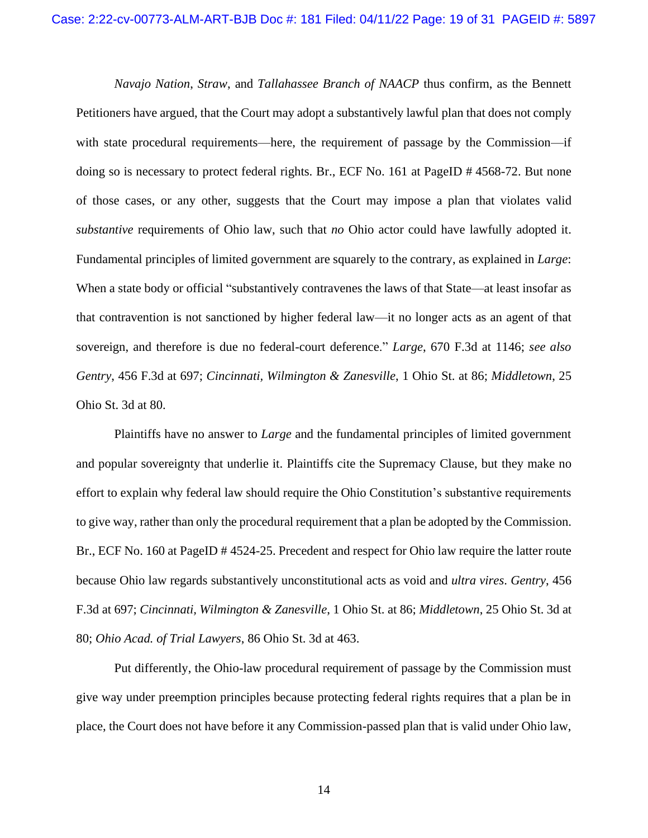*Navajo Nation*, *Straw*, and *Tallahassee Branch of NAACP* thus confirm, as the Bennett Petitioners have argued, that the Court may adopt a substantively lawful plan that does not comply with state procedural requirements—here, the requirement of passage by the Commission—if doing so is necessary to protect federal rights. Br., ECF No. 161 at PageID # 4568-72. But none of those cases, or any other, suggests that the Court may impose a plan that violates valid *substantive* requirements of Ohio law, such that *no* Ohio actor could have lawfully adopted it. Fundamental principles of limited government are squarely to the contrary, as explained in *Large*: When a state body or official "substantively contravenes the laws of that State—at least insofar as that contravention is not sanctioned by higher federal law—it no longer acts as an agent of that sovereign, and therefore is due no federal-court deference." *Large*, 670 F.3d at 1146; *see also Gentry*, 456 F.3d at 697; *Cincinnati, Wilmington & Zanesville*, 1 Ohio St. at 86; *Middletown*, 25 Ohio St. 3d at 80.

Plaintiffs have no answer to *Large* and the fundamental principles of limited government and popular sovereignty that underlie it. Plaintiffs cite the Supremacy Clause, but they make no effort to explain why federal law should require the Ohio Constitution's substantive requirements to give way, rather than only the procedural requirement that a plan be adopted by the Commission. Br., ECF No. 160 at PageID # 4524-25. Precedent and respect for Ohio law require the latter route because Ohio law regards substantively unconstitutional acts as void and *ultra vires*. *Gentry*, 456 F.3d at 697; *Cincinnati, Wilmington & Zanesville*, 1 Ohio St. at 86; *Middletown*, 25 Ohio St. 3d at 80; *Ohio Acad. of Trial Lawyers*, 86 Ohio St. 3d at 463.

Put differently, the Ohio-law procedural requirement of passage by the Commission must give way under preemption principles because protecting federal rights requires that a plan be in place, the Court does not have before it any Commission-passed plan that is valid under Ohio law,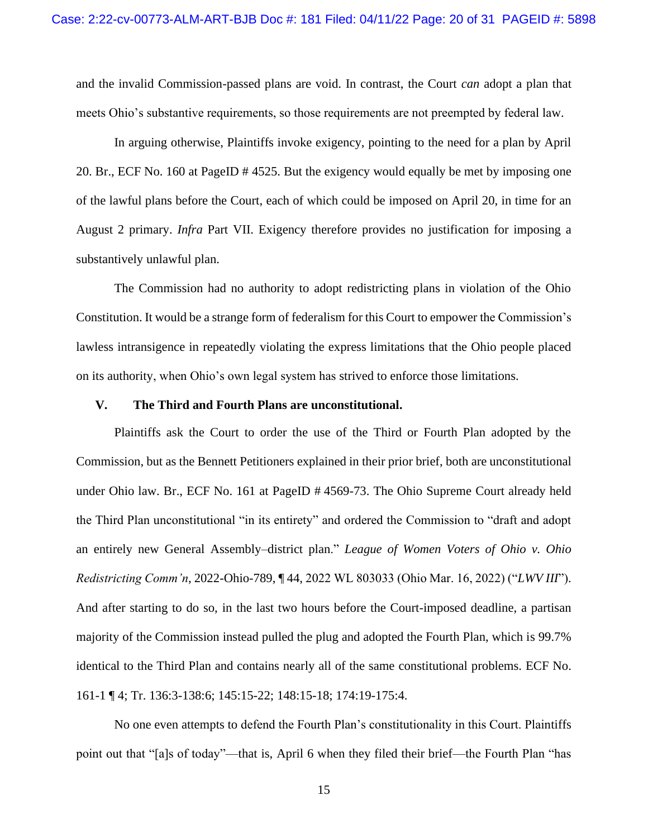and the invalid Commission-passed plans are void. In contrast, the Court *can* adopt a plan that meets Ohio's substantive requirements, so those requirements are not preempted by federal law.

In arguing otherwise, Plaintiffs invoke exigency, pointing to the need for a plan by April 20. Br., ECF No. 160 at PageID # 4525. But the exigency would equally be met by imposing one of the lawful plans before the Court, each of which could be imposed on April 20, in time for an August 2 primary. *Infra* Part VII. Exigency therefore provides no justification for imposing a substantively unlawful plan.

The Commission had no authority to adopt redistricting plans in violation of the Ohio Constitution. It would be a strange form of federalism for this Court to empower the Commission's lawless intransigence in repeatedly violating the express limitations that the Ohio people placed on its authority, when Ohio's own legal system has strived to enforce those limitations.

#### <span id="page-19-1"></span><span id="page-19-0"></span>**V. The Third and Fourth Plans are unconstitutional.**

Plaintiffs ask the Court to order the use of the Third or Fourth Plan adopted by the Commission, but as the Bennett Petitioners explained in their prior brief, both are unconstitutional under Ohio law. Br., ECF No. 161 at PageID # 4569-73. The Ohio Supreme Court already held the Third Plan unconstitutional "in its entirety" and ordered the Commission to "draft and adopt an entirely new General Assembly–district plan." *League of Women Voters of Ohio v. Ohio Redistricting Comm'n*, 2022-Ohio-789, ¶ 44, 2022 WL 803033 (Ohio Mar. 16, 2022) ("*LWV III*"). And after starting to do so, in the last two hours before the Court-imposed deadline, a partisan majority of the Commission instead pulled the plug and adopted the Fourth Plan, which is 99.7% identical to the Third Plan and contains nearly all of the same constitutional problems. ECF No. 161-1 ¶ 4; Tr. 136:3-138:6; 145:15-22; 148:15-18; 174:19-175:4.

No one even attempts to defend the Fourth Plan's constitutionality in this Court. Plaintiffs point out that "[a]s of today"—that is, April 6 when they filed their brief—the Fourth Plan "has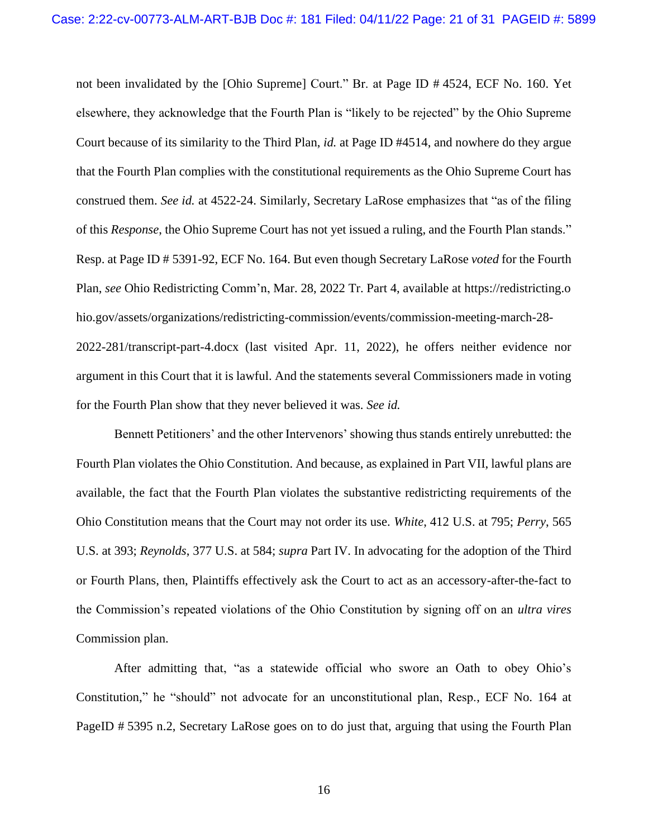not been invalidated by the [Ohio Supreme] Court." Br. at Page ID # 4524, ECF No. 160. Yet elsewhere, they acknowledge that the Fourth Plan is "likely to be rejected" by the Ohio Supreme Court because of its similarity to the Third Plan, *id.* at Page ID #4514, and nowhere do they argue that the Fourth Plan complies with the constitutional requirements as the Ohio Supreme Court has construed them. *See id.* at 4522-24. Similarly, Secretary LaRose emphasizes that "as of the filing of this *Response*, the Ohio Supreme Court has not yet issued a ruling, and the Fourth Plan stands." Resp. at Page ID # 5391-92, ECF No. 164. But even though Secretary LaRose *voted* for the Fourth Plan, *see* Ohio Redistricting Comm'n, Mar. 28, 2022 Tr. Part 4, available at https://redistricting.o hio.gov/assets/organizations/redistricting-commission/events/commission-meeting-march-28- 2022-281/transcript-part-4.docx (last visited Apr. 11, 2022), he offers neither evidence nor argument in this Court that it is lawful. And the statements several Commissioners made in voting for the Fourth Plan show that they never believed it was. *See id.*

Bennett Petitioners' and the other Intervenors' showing thus stands entirely unrebutted: the Fourth Plan violates the Ohio Constitution. And because, as explained in Part VII, lawful plans are available, the fact that the Fourth Plan violates the substantive redistricting requirements of the Ohio Constitution means that the Court may not order its use. *White*, 412 U.S. at 795; *Perry*, 565 U.S. at 393; *Reynolds*, 377 U.S. at 584; *supra* Part IV. In advocating for the adoption of the Third or Fourth Plans, then, Plaintiffs effectively ask the Court to act as an accessory-after-the-fact to the Commission's repeated violations of the Ohio Constitution by signing off on an *ultra vires*  Commission plan.

After admitting that, "as a statewide official who swore an Oath to obey Ohio's Constitution," he "should" not advocate for an unconstitutional plan, Resp., ECF No. 164 at PageID # 5395 n.2, Secretary LaRose goes on to do just that, arguing that using the Fourth Plan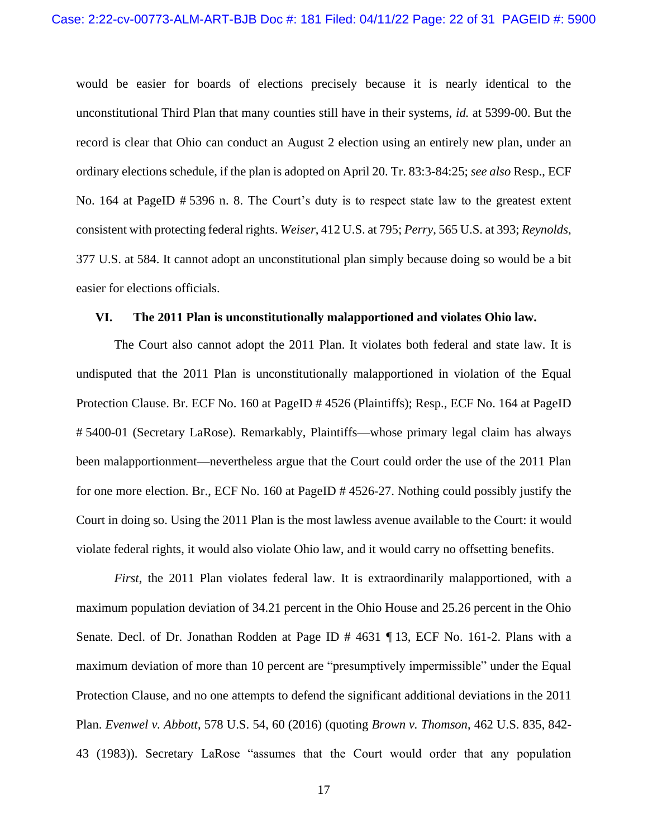would be easier for boards of elections precisely because it is nearly identical to the unconstitutional Third Plan that many counties still have in their systems, *id.* at 5399-00. But the record is clear that Ohio can conduct an August 2 election using an entirely new plan, under an ordinary elections schedule, if the plan is adopted on April 20. Tr. 83:3-84:25; *see also* Resp., ECF No. 164 at PageID # 5396 n. 8. The Court's duty is to respect state law to the greatest extent consistent with protecting federal rights. *Weiser*, 412 U.S. at 795; *Perry*, 565 U.S. at 393; *Reynolds*, 377 U.S. at 584. It cannot adopt an unconstitutional plan simply because doing so would be a bit easier for elections officials.

#### <span id="page-21-0"></span>**VI. The 2011 Plan is unconstitutionally malapportioned and violates Ohio law.**

The Court also cannot adopt the 2011 Plan. It violates both federal and state law. It is undisputed that the 2011 Plan is unconstitutionally malapportioned in violation of the Equal Protection Clause. Br. ECF No. 160 at PageID # 4526 (Plaintiffs); Resp., ECF No. 164 at PageID # 5400-01 (Secretary LaRose). Remarkably, Plaintiffs—whose primary legal claim has always been malapportionment—nevertheless argue that the Court could order the use of the 2011 Plan for one more election. Br., ECF No. 160 at PageID # 4526-27. Nothing could possibly justify the Court in doing so. Using the 2011 Plan is the most lawless avenue available to the Court: it would violate federal rights, it would also violate Ohio law, and it would carry no offsetting benefits.

*First*, the 2011 Plan violates federal law. It is extraordinarily malapportioned, with a maximum population deviation of 34.21 percent in the Ohio House and 25.26 percent in the Ohio Senate. Decl. of Dr. Jonathan Rodden at Page ID # 4631 ¶ 13, ECF No. 161-2. Plans with a maximum deviation of more than 10 percent are "presumptively impermissible" under the Equal Protection Clause, and no one attempts to defend the significant additional deviations in the 2011 Plan. *Evenwel v. Abbott*, 578 U.S. 54, 60 (2016) (quoting *Brown v. Thomson*, 462 U.S. 835, 842- 43 (1983)). Secretary LaRose "assumes that the Court would order that any population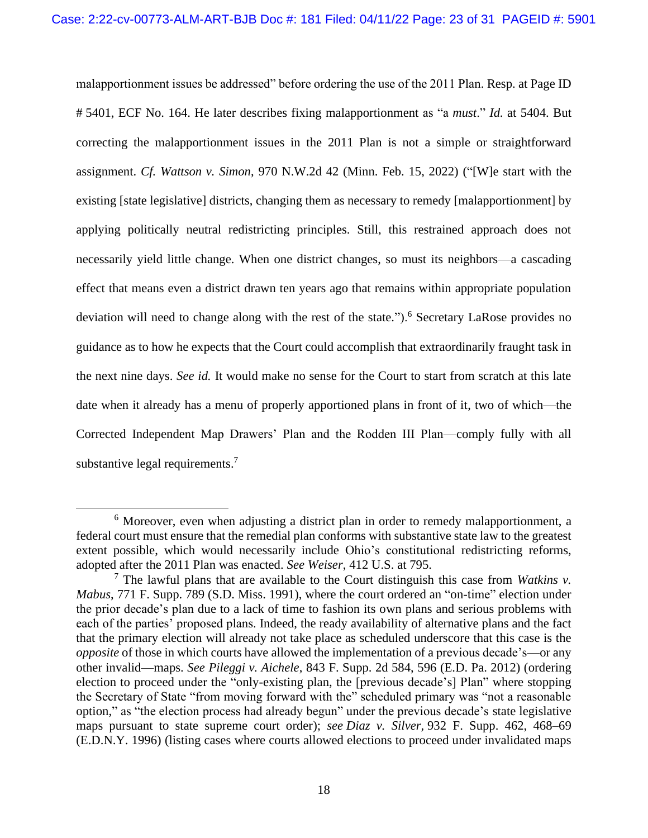malapportionment issues be addressed" before ordering the use of the 2011 Plan. Resp. at Page ID # 5401, ECF No. 164. He later describes fixing malapportionment as "a *must*." *Id.* at 5404. But correcting the malapportionment issues in the 2011 Plan is not a simple or straightforward assignment. *Cf. Wattson v. Simon*, 970 N.W.2d 42 (Minn. Feb. 15, 2022) ("[W]e start with the existing [state legislative] districts, changing them as necessary to remedy [malapportionment] by applying politically neutral redistricting principles. Still, this restrained approach does not necessarily yield little change. When one district changes, so must its neighbors—a cascading effect that means even a district drawn ten years ago that remains within appropriate population deviation will need to change along with the rest of the state.").<sup>6</sup> Secretary LaRose provides no guidance as to how he expects that the Court could accomplish that extraordinarily fraught task in the next nine days. *See id.* It would make no sense for the Court to start from scratch at this late date when it already has a menu of properly apportioned plans in front of it, two of which—the Corrected Independent Map Drawers' Plan and the Rodden III Plan—comply fully with all substantive legal requirements.<sup>7</sup>

<sup>&</sup>lt;sup>6</sup> Moreover, even when adjusting a district plan in order to remedy malapportionment, a federal court must ensure that the remedial plan conforms with substantive state law to the greatest extent possible, which would necessarily include Ohio's constitutional redistricting reforms, adopted after the 2011 Plan was enacted. *See Weiser*, 412 U.S. at 795.

<sup>7</sup> The lawful plans that are available to the Court distinguish this case from *Watkins v. Mabus*, 771 F. Supp. 789 (S.D. Miss. 1991), where the court ordered an "on-time" election under the prior decade's plan due to a lack of time to fashion its own plans and serious problems with each of the parties' proposed plans. Indeed, the ready availability of alternative plans and the fact that the primary election will already not take place as scheduled underscore that this case is the *opposite* of those in which courts have allowed the implementation of a previous decade's—or any other invalid—maps. *See Pileggi v. Aichele*, 843 F. Supp. 2d 584, 596 (E.D. Pa. 2012) (ordering election to proceed under the "only-existing plan, the [previous decade's] Plan" where stopping the Secretary of State "from moving forward with the" scheduled primary was "not a reasonable option," as "the election process had already begun" under the previous decade's state legislative maps pursuant to state supreme court order); *see Diaz v. Silver,* 932 F. Supp. 462, 468–69 (E.D.N.Y. 1996) (listing cases where courts allowed elections to proceed under invalidated maps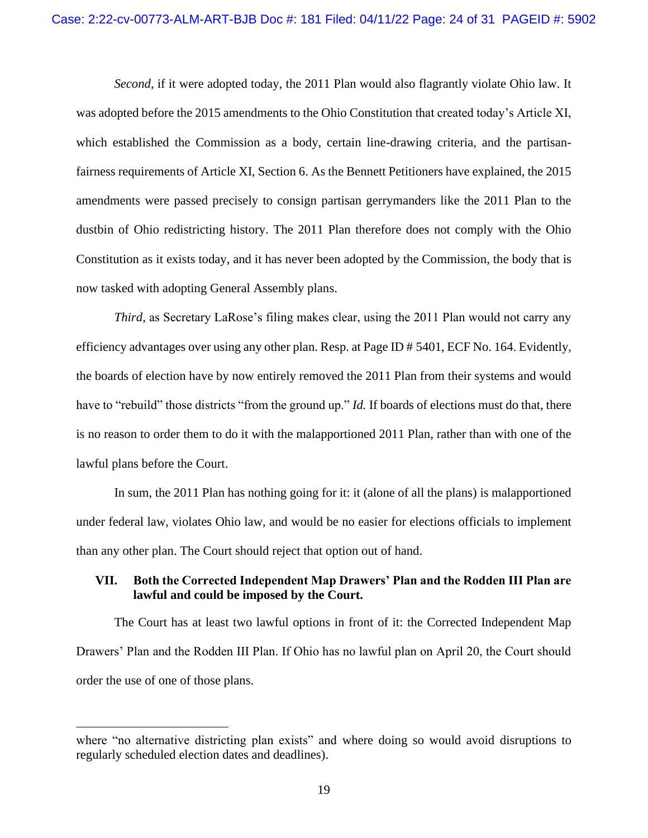*Second*, if it were adopted today, the 2011 Plan would also flagrantly violate Ohio law. It was adopted before the 2015 amendments to the Ohio Constitution that created today's Article XI, which established the Commission as a body, certain line-drawing criteria, and the partisanfairness requirements of Article XI, Section 6. As the Bennett Petitioners have explained, the 2015 amendments were passed precisely to consign partisan gerrymanders like the 2011 Plan to the dustbin of Ohio redistricting history. The 2011 Plan therefore does not comply with the Ohio Constitution as it exists today, and it has never been adopted by the Commission, the body that is now tasked with adopting General Assembly plans.

*Third*, as Secretary LaRose's filing makes clear, using the 2011 Plan would not carry any efficiency advantages over using any other plan. Resp. at Page ID # 5401, ECF No. 164. Evidently, the boards of election have by now entirely removed the 2011 Plan from their systems and would have to "rebuild" those districts "from the ground up." *Id.* If boards of elections must do that, there is no reason to order them to do it with the malapportioned 2011 Plan, rather than with one of the lawful plans before the Court.

In sum, the 2011 Plan has nothing going for it: it (alone of all the plans) is malapportioned under federal law, violates Ohio law, and would be no easier for elections officials to implement than any other plan. The Court should reject that option out of hand.

#### <span id="page-23-0"></span>**VII. Both the Corrected Independent Map Drawers' Plan and the Rodden III Plan are lawful and could be imposed by the Court.**

The Court has at least two lawful options in front of it: the Corrected Independent Map Drawers' Plan and the Rodden III Plan. If Ohio has no lawful plan on April 20, the Court should order the use of one of those plans.

where "no alternative districting plan exists" and where doing so would avoid disruptions to regularly scheduled election dates and deadlines).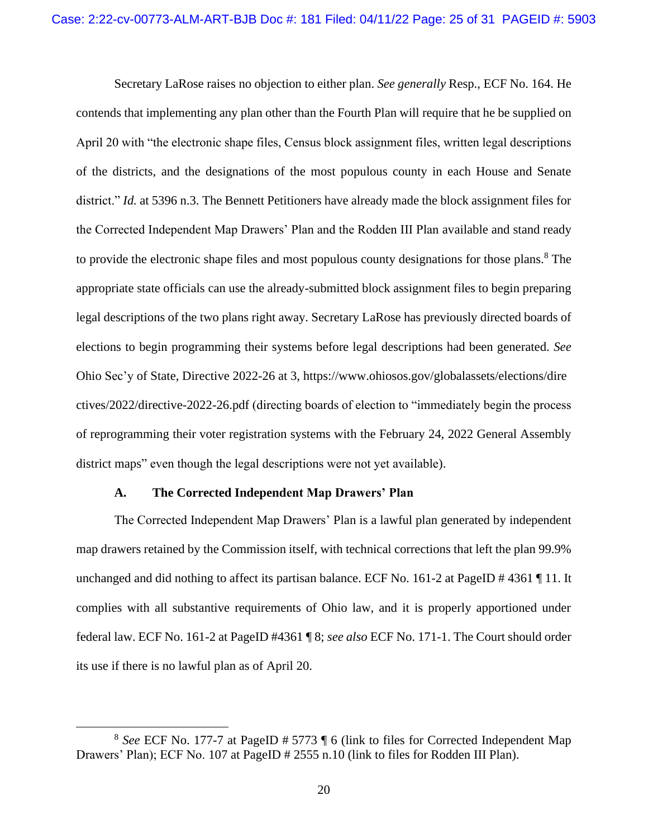Secretary LaRose raises no objection to either plan. *See generally* Resp., ECF No. 164. He contends that implementing any plan other than the Fourth Plan will require that he be supplied on April 20 with "the electronic shape files, Census block assignment files, written legal descriptions of the districts, and the designations of the most populous county in each House and Senate district." *Id.* at 5396 n.3. The Bennett Petitioners have already made the block assignment files for the Corrected Independent Map Drawers' Plan and the Rodden III Plan available and stand ready to provide the electronic shape files and most populous county designations for those plans.<sup>8</sup> The appropriate state officials can use the already-submitted block assignment files to begin preparing legal descriptions of the two plans right away. Secretary LaRose has previously directed boards of elections to begin programming their systems before legal descriptions had been generated. *See* Ohio Sec'y of State, Directive 2022-26 at 3, https://www.ohiosos.gov/globalassets/elections/dire ctives/2022/directive-2022-26.pdf (directing boards of election to "immediately begin the process of reprogramming their voter registration systems with the February 24, 2022 General Assembly district maps" even though the legal descriptions were not yet available).

#### **A. The Corrected Independent Map Drawers' Plan**

<span id="page-24-0"></span>The Corrected Independent Map Drawers' Plan is a lawful plan generated by independent map drawers retained by the Commission itself, with technical corrections that left the plan 99.9% unchanged and did nothing to affect its partisan balance. ECF No. 161-2 at PageID # 4361 ¶ 11. It complies with all substantive requirements of Ohio law, and it is properly apportioned under federal law. ECF No. 161-2 at PageID #4361 ¶ 8; *see also* ECF No. 171-1. The Court should order its use if there is no lawful plan as of April 20.

<sup>8</sup> *See* ECF No. 177-7 at PageID # 5773 ¶ 6 (link to files for Corrected Independent Map Drawers' Plan); ECF No. 107 at PageID # 2555 n.10 (link to files for Rodden III Plan).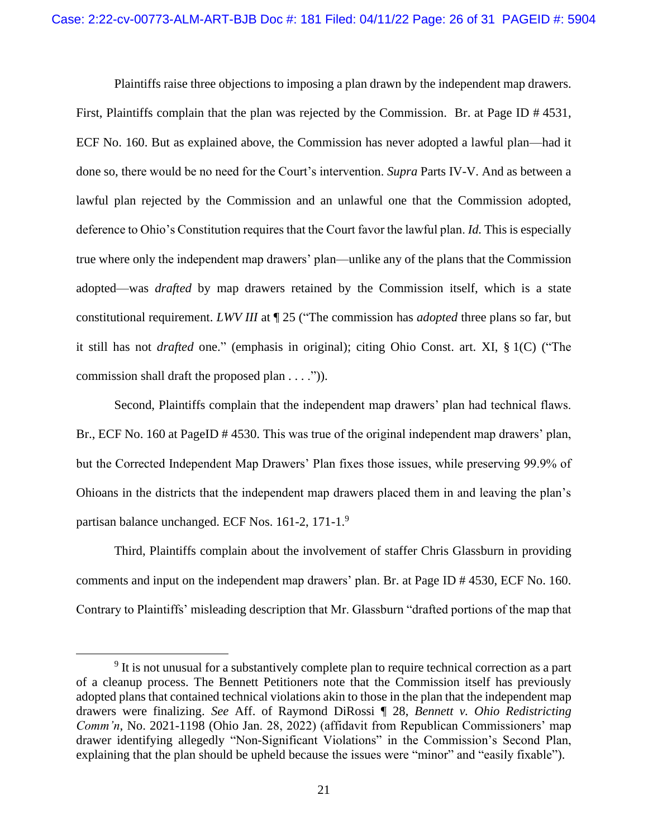Plaintiffs raise three objections to imposing a plan drawn by the independent map drawers.

First, Plaintiffs complain that the plan was rejected by the Commission. Br. at Page ID # 4531, ECF No. 160. But as explained above, the Commission has never adopted a lawful plan—had it done so, there would be no need for the Court's intervention. *Supra* Parts IV-V. And as between a lawful plan rejected by the Commission and an unlawful one that the Commission adopted, deference to Ohio's Constitution requires that the Court favor the lawful plan. *Id.* This is especially true where only the independent map drawers' plan—unlike any of the plans that the Commission adopted—was *drafted* by map drawers retained by the Commission itself, which is a state constitutional requirement. *LWV III* at ¶ 25 ("The commission has *adopted* three plans so far, but it still has not *drafted* one." (emphasis in original); citing Ohio Const. art. XI, § 1(C) ("The commission shall draft the proposed plan . . . .")).

Second, Plaintiffs complain that the independent map drawers' plan had technical flaws. Br., ECF No. 160 at PageID # 4530. This was true of the original independent map drawers' plan, but the Corrected Independent Map Drawers' Plan fixes those issues, while preserving 99.9% of Ohioans in the districts that the independent map drawers placed them in and leaving the plan's partisan balance unchanged. ECF Nos. 161-2, 171-1.<sup>9</sup>

Third, Plaintiffs complain about the involvement of staffer Chris Glassburn in providing comments and input on the independent map drawers' plan. Br. at Page ID # 4530, ECF No. 160. Contrary to Plaintiffs' misleading description that Mr. Glassburn "drafted portions of the map that

<sup>&</sup>lt;sup>9</sup> It is not unusual for a substantively complete plan to require technical correction as a part of a cleanup process. The Bennett Petitioners note that the Commission itself has previously adopted plans that contained technical violations akin to those in the plan that the independent map drawers were finalizing. *See* Aff. of Raymond DiRossi ¶ 28, *Bennett v. Ohio Redistricting Comm'n*, No. 2021-1198 (Ohio Jan. 28, 2022) (affidavit from Republican Commissioners' map drawer identifying allegedly "Non-Significant Violations" in the Commission's Second Plan, explaining that the plan should be upheld because the issues were "minor" and "easily fixable").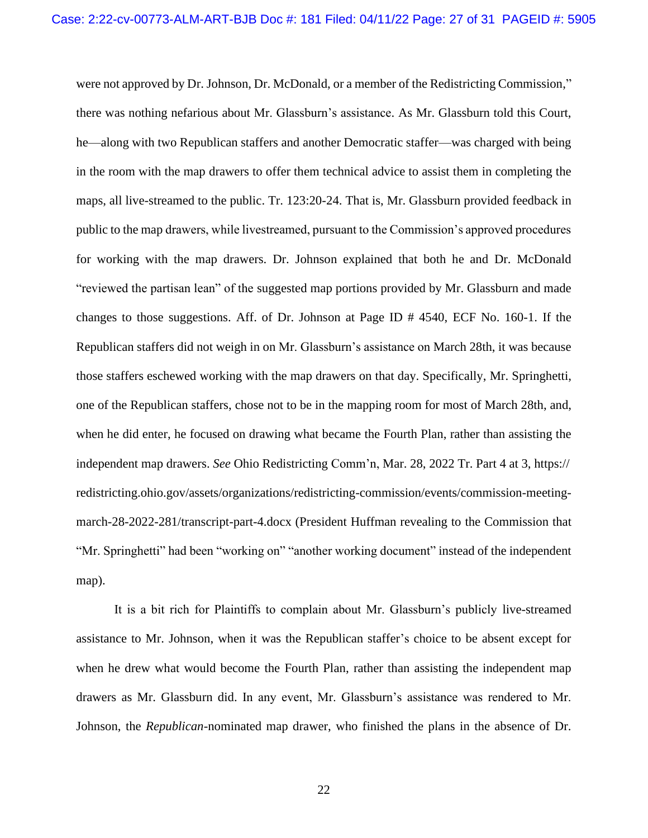were not approved by Dr. Johnson, Dr. McDonald, or a member of the Redistricting Commission," there was nothing nefarious about Mr. Glassburn's assistance. As Mr. Glassburn told this Court, he—along with two Republican staffers and another Democratic staffer—was charged with being in the room with the map drawers to offer them technical advice to assist them in completing the maps, all live-streamed to the public. Tr. 123:20-24. That is, Mr. Glassburn provided feedback in public to the map drawers, while livestreamed, pursuant to the Commission's approved procedures for working with the map drawers. Dr. Johnson explained that both he and Dr. McDonald "reviewed the partisan lean" of the suggested map portions provided by Mr. Glassburn and made changes to those suggestions. Aff. of Dr. Johnson at Page ID # 4540, ECF No. 160-1. If the Republican staffers did not weigh in on Mr. Glassburn's assistance on March 28th, it was because those staffers eschewed working with the map drawers on that day. Specifically, Mr. Springhetti, one of the Republican staffers, chose not to be in the mapping room for most of March 28th, and, when he did enter, he focused on drawing what became the Fourth Plan, rather than assisting the independent map drawers. *See* Ohio Redistricting Comm'n, Mar. 28, 2022 Tr. Part 4 at 3, https:// redistricting.ohio.gov/assets/organizations/redistricting-commission/events/commission-meetingmarch-28-2022-281/transcript-part-4.docx (President Huffman revealing to the Commission that "Mr. Springhetti" had been "working on" "another working document" instead of the independent map).

It is a bit rich for Plaintiffs to complain about Mr. Glassburn's publicly live-streamed assistance to Mr. Johnson, when it was the Republican staffer's choice to be absent except for when he drew what would become the Fourth Plan, rather than assisting the independent map drawers as Mr. Glassburn did. In any event, Mr. Glassburn's assistance was rendered to Mr. Johnson, the *Republican*-nominated map drawer, who finished the plans in the absence of Dr.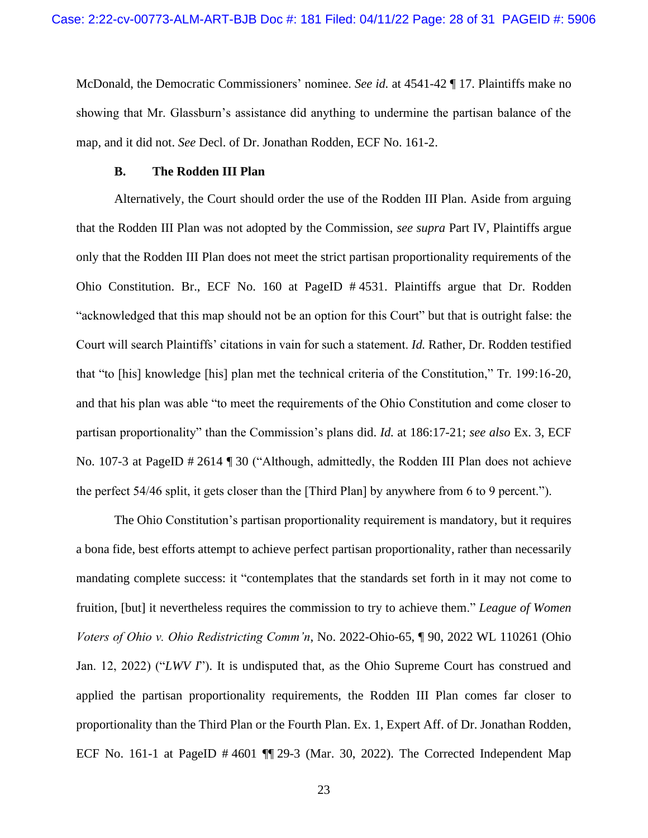McDonald, the Democratic Commissioners' nominee. *See id.* at 4541-42 ¶ 17. Plaintiffs make no showing that Mr. Glassburn's assistance did anything to undermine the partisan balance of the map, and it did not. *See* Decl. of Dr. Jonathan Rodden, ECF No. 161-2.

#### **B. The Rodden III Plan**

<span id="page-27-0"></span>Alternatively, the Court should order the use of the Rodden III Plan. Aside from arguing that the Rodden III Plan was not adopted by the Commission, *see supra* Part IV, Plaintiffs argue only that the Rodden III Plan does not meet the strict partisan proportionality requirements of the Ohio Constitution. Br., ECF No. 160 at PageID # 4531. Plaintiffs argue that Dr. Rodden "acknowledged that this map should not be an option for this Court" but that is outright false: the Court will search Plaintiffs' citations in vain for such a statement. *Id.* Rather, Dr. Rodden testified that "to [his] knowledge [his] plan met the technical criteria of the Constitution," Tr. 199:16-20, and that his plan was able "to meet the requirements of the Ohio Constitution and come closer to partisan proportionality" than the Commission's plans did. *Id.* at 186:17-21; *see also* Ex. 3, ECF No. 107-3 at PageID # 2614 ¶ 30 ("Although, admittedly, the Rodden III Plan does not achieve the perfect 54/46 split, it gets closer than the [Third Plan] by anywhere from 6 to 9 percent.").

<span id="page-27-1"></span>The Ohio Constitution's partisan proportionality requirement is mandatory, but it requires a bona fide, best efforts attempt to achieve perfect partisan proportionality, rather than necessarily mandating complete success: it "contemplates that the standards set forth in it may not come to fruition, [but] it nevertheless requires the commission to try to achieve them." *League of Women Voters of Ohio v. Ohio Redistricting Comm'n*, No. 2022-Ohio-65, ¶ 90, 2022 WL 110261 (Ohio Jan. 12, 2022) ("*LWV I*"). It is undisputed that, as the Ohio Supreme Court has construed and applied the partisan proportionality requirements, the Rodden III Plan comes far closer to proportionality than the Third Plan or the Fourth Plan. Ex. 1, Expert Aff. of Dr. Jonathan Rodden, ECF No. 161-1 at PageID # 4601 ¶¶ 29-3 (Mar. 30, 2022). The Corrected Independent Map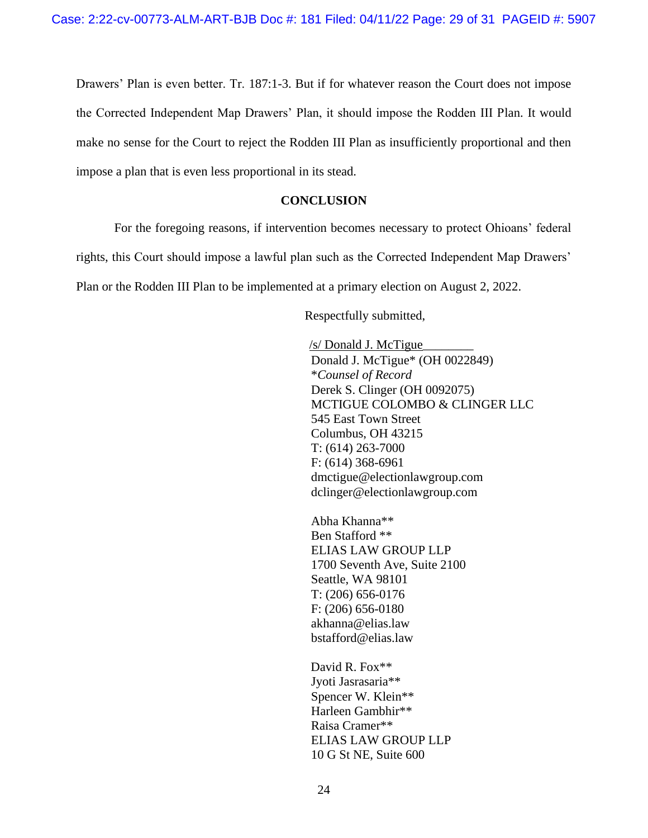Drawers' Plan is even better. Tr. 187:1-3. But if for whatever reason the Court does not impose the Corrected Independent Map Drawers' Plan, it should impose the Rodden III Plan. It would make no sense for the Court to reject the Rodden III Plan as insufficiently proportional and then impose a plan that is even less proportional in its stead.

### **CONCLUSION**

<span id="page-28-0"></span>For the foregoing reasons, if intervention becomes necessary to protect Ohioans' federal rights, this Court should impose a lawful plan such as the Corrected Independent Map Drawers' Plan or the Rodden III Plan to be implemented at a primary election on August 2, 2022.

Respectfully submitted,

/s/ Donald J. McTigue\_\_\_\_\_\_\_\_ Donald J. McTigue\* (OH 0022849) \**Counsel of Record*  Derek S. Clinger (OH 0092075) MCTIGUE COLOMBO & CLINGER LLC 545 East Town Street Columbus, OH 43215 T: (614) 263-7000 F: (614) 368-6961 dmctigue@electionlawgroup.com dclinger@electionlawgroup.com

Abha Khanna\*\* Ben Stafford \*\* ELIAS LAW GROUP LLP 1700 Seventh Ave, Suite 2100 Seattle, WA 98101 T: (206) 656-0176 F: (206) 656-0180 akhanna@elias.law bstafford@elias.law

David R. Fox\*\* Jyoti Jasrasaria\*\* Spencer W. Klein\*\* Harleen Gambhir\*\* Raisa Cramer\*\* ELIAS LAW GROUP LLP 10 G St NE, Suite 600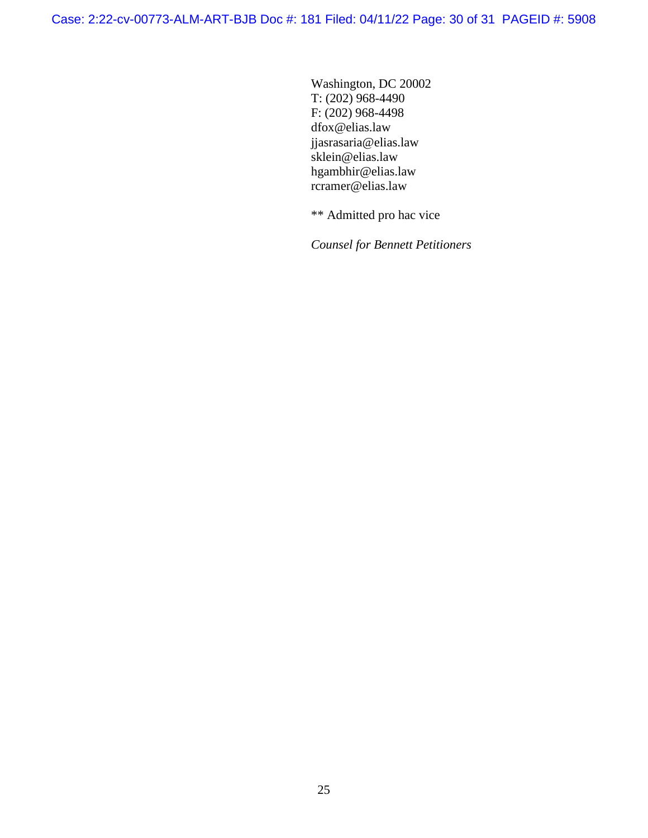Washington, DC 20002 T: (202) 968-4490 F: (202) 968-4498 dfox@elias.law jjasrasaria@elias.law sklein@elias.law hgambhir@elias.law rcramer@elias.law

\*\* Admitted pro hac vice

*Counsel for Bennett Petitioners*